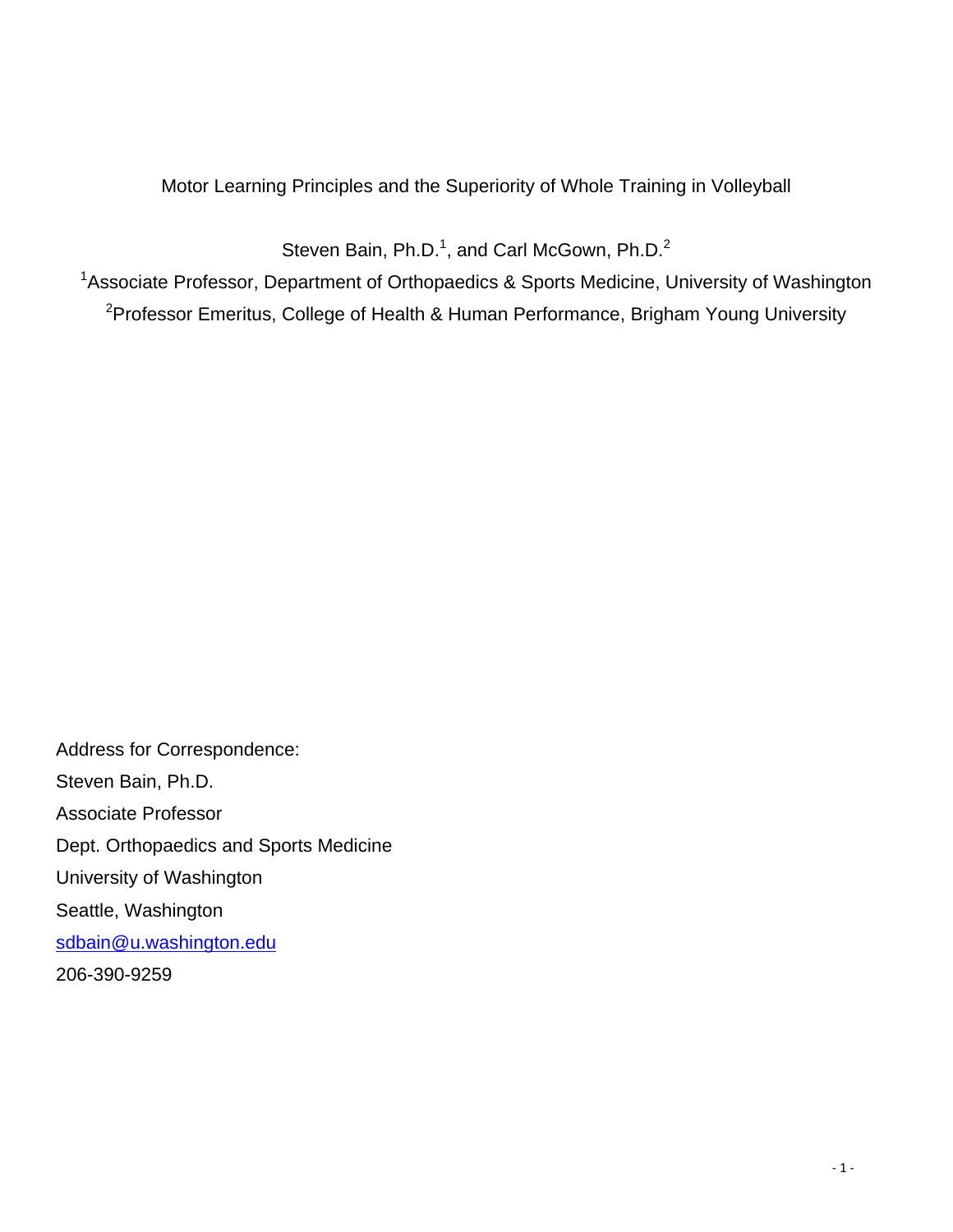### Motor Learning Principles and the Superiority of Whole Training in Volleyball

Steven Bain, Ph.D.<sup>1</sup>, and Carl McGown, Ph.D.<sup>2</sup>

<sup>1</sup>Associate Professor, Department of Orthopaedics & Sports Medicine, University of Washington <sup>2</sup>Professor Emeritus, College of Health & Human Performance, Brigham Young University

Address for Correspondence: Steven Bain, Ph.D. Associate Professor Dept. Orthopaedics and Sports Medicine University of Washington Seattle, Washington sdbain@u.washington.edu 206-390-9259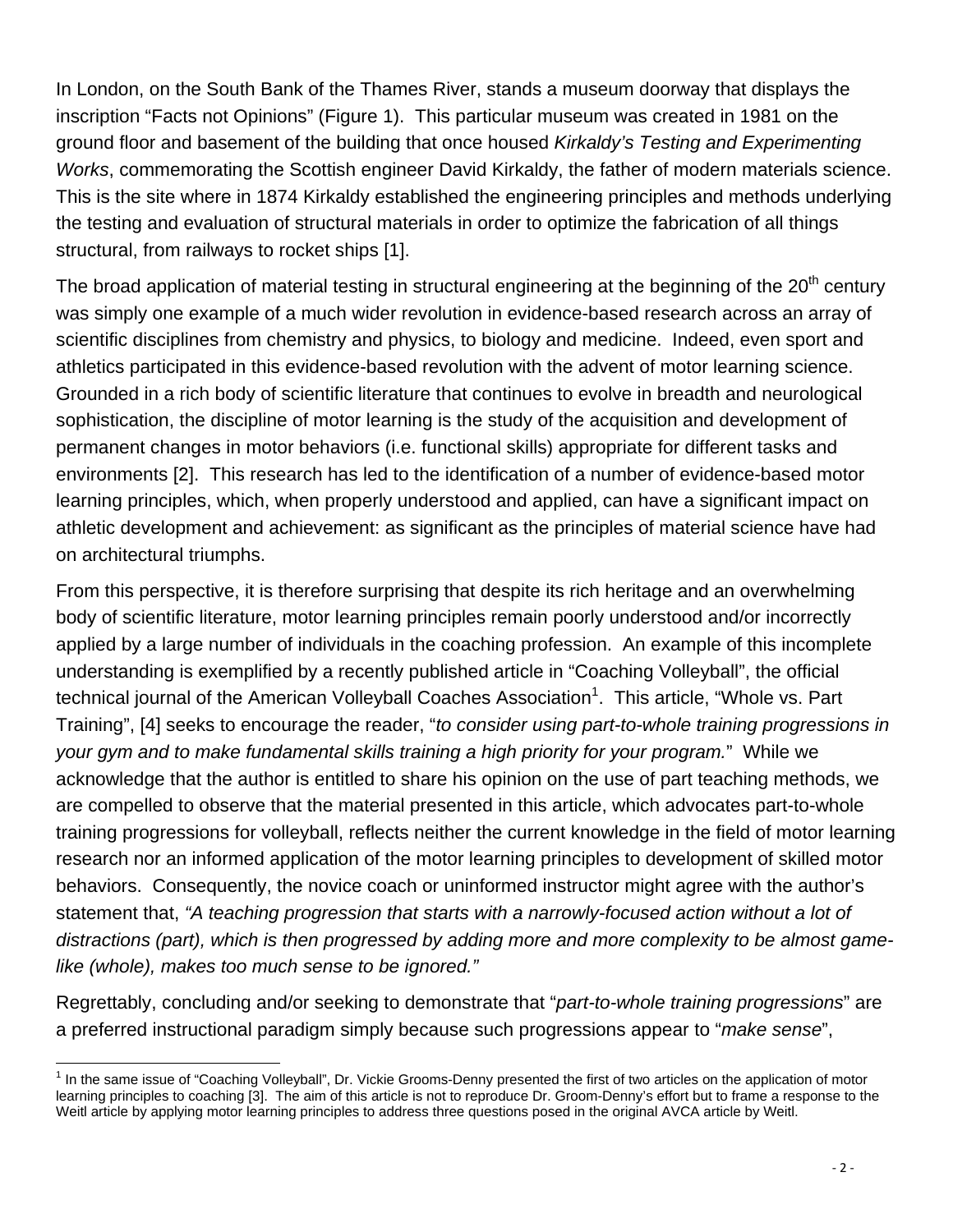In London, on the South Bank of the Thames River, stands a museum doorway that displays the inscription "Facts not Opinions" (Figure 1). This particular museum was created in 1981 on the ground floor and basement of the building that once housed *Kirkaldy's Testing and Experimenting Works*, commemorating the Scottish engineer David Kirkaldy, the father of modern materials science. This is the site where in 1874 Kirkaldy established the engineering principles and methods underlying the testing and evaluation of structural materials in order to optimize the fabrication of all things structural, from railways to rocket ships [1].

The broad application of material testing in structural engineering at the beginning of the  $20<sup>th</sup>$  century was simply one example of a much wider revolution in evidence-based research across an array of scientific disciplines from chemistry and physics, to biology and medicine. Indeed, even sport and athletics participated in this evidence-based revolution with the advent of motor learning science. Grounded in a rich body of scientific literature that continues to evolve in breadth and neurological sophistication, the discipline of motor learning is the study of the acquisition and development of permanent changes in motor behaviors (i.e. functional skills) appropriate for different tasks and environments [2]. This research has led to the identification of a number of evidence-based motor learning principles, which, when properly understood and applied, can have a significant impact on athletic development and achievement: as significant as the principles of material science have had on architectural triumphs.

From this perspective, it is therefore surprising that despite its rich heritage and an overwhelming body of scientific literature, motor learning principles remain poorly understood and/or incorrectly applied by a large number of individuals in the coaching profession. An example of this incomplete understanding is exemplified by a recently published article in "Coaching Volleyball", the official technical journal of the American Volleyball Coaches Association<sup>1</sup>. This article, "Whole vs. Part Training", [4] seeks to encourage the reader, "*to consider using part-to-whole training progressions in your gym and to make fundamental skills training a high priority for your program.*" While we acknowledge that the author is entitled to share his opinion on the use of part teaching methods, we are compelled to observe that the material presented in this article, which advocates part-to-whole training progressions for volleyball, reflects neither the current knowledge in the field of motor learning research nor an informed application of the motor learning principles to development of skilled motor behaviors. Consequently, the novice coach or uninformed instructor might agree with the author's statement that, *"A teaching progression that starts with a narrowly-focused action without a lot of distractions (part), which is then progressed by adding more and more complexity to be almost gamelike (whole), makes too much sense to be ignored."*

Regrettably, concluding and/or seeking to demonstrate that "*part-to-whole training progressions*" are a preferred instructional paradigm simply because such progressions appear to "*make sense*",

 $\overline{a}$ 

<sup>&</sup>lt;sup>1</sup> In the same issue of "Coaching Volleyball", Dr. Vickie Grooms-Denny presented the first of two articles on the application of motor learning principles to coaching [3]. The aim of this article is not to reproduce Dr. Groom-Denny's effort but to frame a response to the Weitl article by applying motor learning principles to address three questions posed in the original AVCA article by Weitl.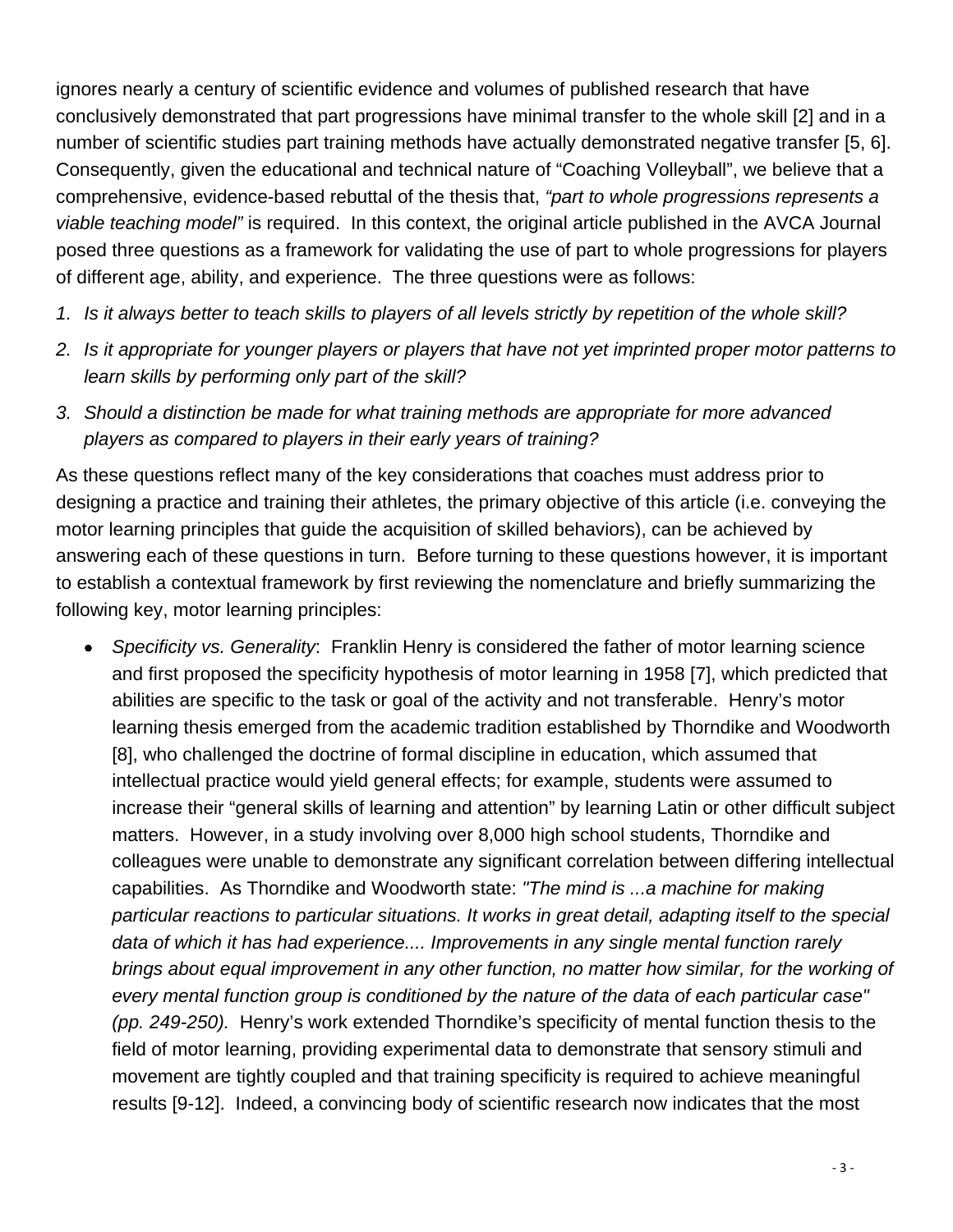ignores nearly a century of scientific evidence and volumes of published research that have conclusively demonstrated that part progressions have minimal transfer to the whole skill [2] and in a number of scientific studies part training methods have actually demonstrated negative transfer [5, 6]. Consequently, given the educational and technical nature of "Coaching Volleyball", we believe that a comprehensive, evidence-based rebuttal of the thesis that, *"part to whole progressions represents a viable teaching model"* is required. In this context, the original article published in the AVCA Journal posed three questions as a framework for validating the use of part to whole progressions for players of different age, ability, and experience. The three questions were as follows:

- *1. Is it always better to teach skills to players of all levels strictly by repetition of the whole skill?*
- *2. Is it appropriate for younger players or players that have not yet imprinted proper motor patterns to learn skills by performing only part of the skill?*
- *3. Should a distinction be made for what training methods are appropriate for more advanced players as compared to players in their early years of training?*

As these questions reflect many of the key considerations that coaches must address prior to designing a practice and training their athletes, the primary objective of this article (i.e. conveying the motor learning principles that guide the acquisition of skilled behaviors), can be achieved by answering each of these questions in turn. Before turning to these questions however, it is important to establish a contextual framework by first reviewing the nomenclature and briefly summarizing the following key, motor learning principles:

• *Specificity vs. Generality*: Franklin Henry is considered the father of motor learning science and first proposed the specificity hypothesis of motor learning in 1958 [7], which predicted that abilities are specific to the task or goal of the activity and not transferable. Henry's motor learning thesis emerged from the academic tradition established by Thorndike and Woodworth [8], who challenged the doctrine of formal discipline in education, which assumed that intellectual practice would yield general effects; for example, students were assumed to increase their "general skills of learning and attention" by learning Latin or other difficult subject matters. However, in a study involving over 8,000 high school students, Thorndike and colleagues were unable to demonstrate any significant correlation between differing intellectual capabilities. As Thorndike and Woodworth state: *"The mind is ...a machine for making particular reactions to particular situations. It works in great detail, adapting itself to the special data of which it has had experience.... Improvements in any single mental function rarely brings about equal improvement in any other function, no matter how similar, for the working of every mental function group is conditioned by the nature of the data of each particular case" (pp. 249-250).* Henry's work extended Thorndike's specificity of mental function thesis to the field of motor learning, providing experimental data to demonstrate that sensory stimuli and movement are tightly coupled and that training specificity is required to achieve meaningful results [9-12]. Indeed, a convincing body of scientific research now indicates that the most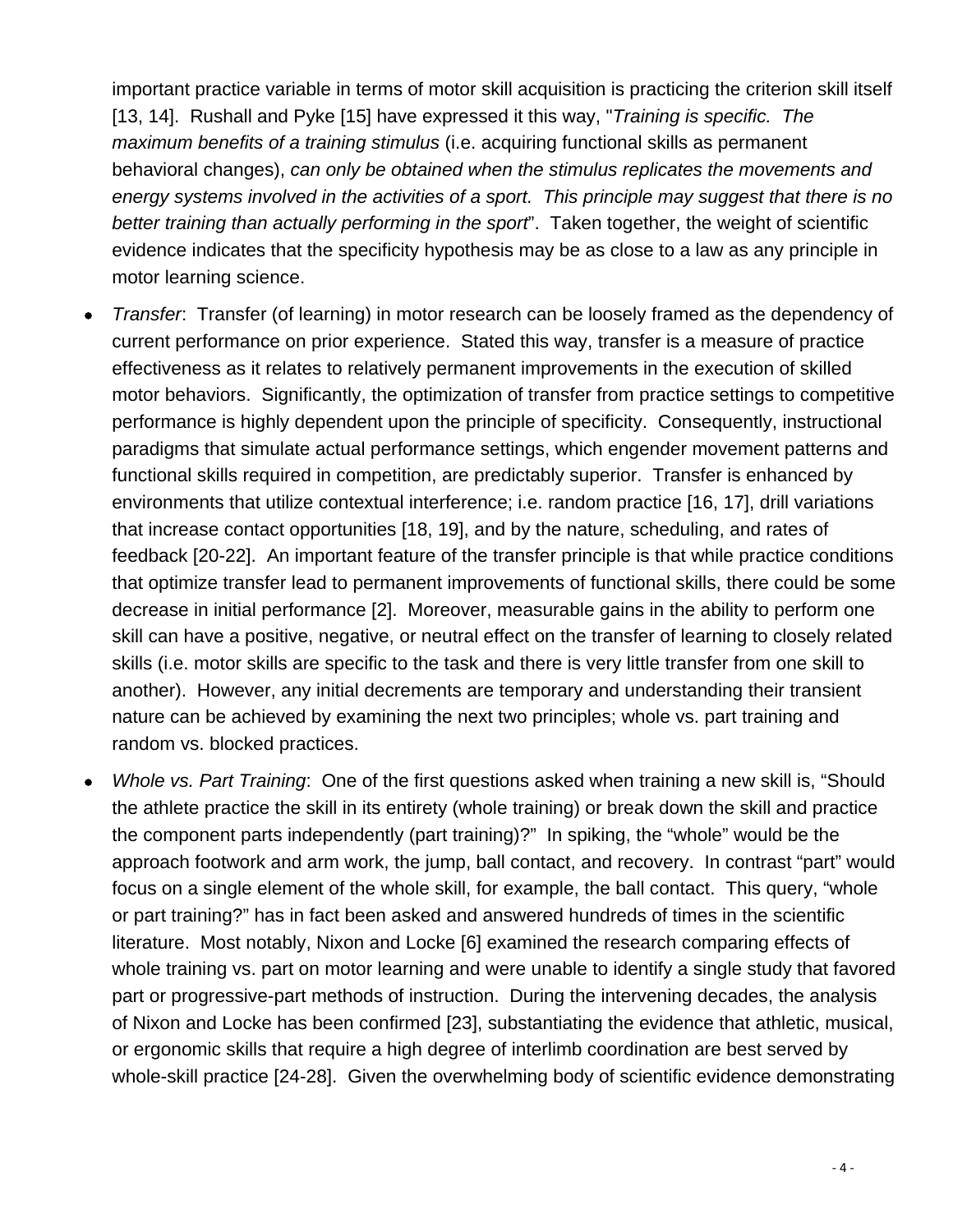important practice variable in terms of motor skill acquisition is practicing the criterion skill itself [13, 14]. Rushall and Pyke [15] have expressed it this way, "*Training is specific. The maximum benefits of a training stimulus* (i.e. acquiring functional skills as permanent behavioral changes), *can only be obtained when the stimulus replicates the movements and energy systems involved in the activities of a sport. This principle may suggest that there is no better training than actually performing in the sport*". Taken together, the weight of scientific evidence indicates that the specificity hypothesis may be as close to a law as any principle in motor learning science.

- *Transfer*: Transfer (of learning) in motor research can be loosely framed as the dependency of current performance on prior experience. Stated this way, transfer is a measure of practice effectiveness as it relates to relatively permanent improvements in the execution of skilled motor behaviors. Significantly, the optimization of transfer from practice settings to competitive performance is highly dependent upon the principle of specificity. Consequently, instructional paradigms that simulate actual performance settings, which engender movement patterns and functional skills required in competition, are predictably superior. Transfer is enhanced by environments that utilize contextual interference; i.e. random practice [16, 17], drill variations that increase contact opportunities [18, 19], and by the nature, scheduling, and rates of feedback [20-22]. An important feature of the transfer principle is that while practice conditions that optimize transfer lead to permanent improvements of functional skills, there could be some decrease in initial performance [2]. Moreover, measurable gains in the ability to perform one skill can have a positive, negative, or neutral effect on the transfer of learning to closely related skills (i.e. motor skills are specific to the task and there is very little transfer from one skill to another). However, any initial decrements are temporary and understanding their transient nature can be achieved by examining the next two principles; whole vs. part training and random vs. blocked practices.
- *Whole vs. Part Training*: One of the first questions asked when training a new skill is, "Should the athlete practice the skill in its entirety (whole training) or break down the skill and practice the component parts independently (part training)?" In spiking, the "whole" would be the approach footwork and arm work, the jump, ball contact, and recovery. In contrast "part" would focus on a single element of the whole skill, for example, the ball contact. This query, "whole or part training?" has in fact been asked and answered hundreds of times in the scientific literature. Most notably, Nixon and Locke [6] examined the research comparing effects of whole training vs. part on motor learning and were unable to identify a single study that favored part or progressive-part methods of instruction. During the intervening decades, the analysis of Nixon and Locke has been confirmed [23], substantiating the evidence that athletic, musical, or ergonomic skills that require a high degree of interlimb coordination are best served by whole-skill practice [24-28]. Given the overwhelming body of scientific evidence demonstrating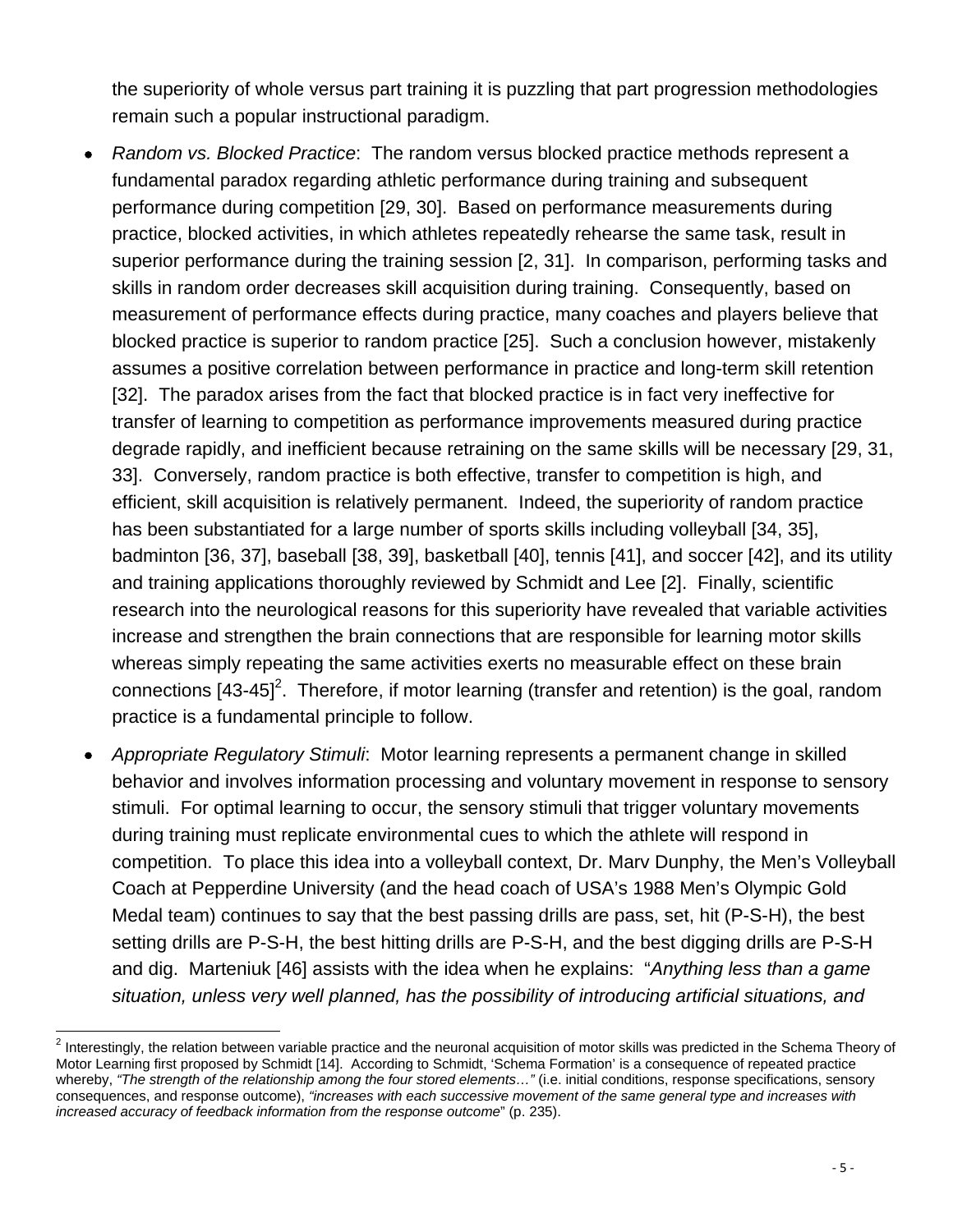the superiority of whole versus part training it is puzzling that part progression methodologies remain such a popular instructional paradigm.

- *Random vs. Blocked Practice*: The random versus blocked practice methods represent a fundamental paradox regarding athletic performance during training and subsequent performance during competition [29, 30]. Based on performance measurements during practice, blocked activities, in which athletes repeatedly rehearse the same task, result in superior performance during the training session [2, 31]. In comparison, performing tasks and skills in random order decreases skill acquisition during training. Consequently, based on measurement of performance effects during practice, many coaches and players believe that blocked practice is superior to random practice [25]. Such a conclusion however, mistakenly assumes a positive correlation between performance in practice and long-term skill retention [32]. The paradox arises from the fact that blocked practice is in fact very ineffective for transfer of learning to competition as performance improvements measured during practice degrade rapidly, and inefficient because retraining on the same skills will be necessary [29, 31, 33]. Conversely, random practice is both effective, transfer to competition is high, and efficient, skill acquisition is relatively permanent. Indeed, the superiority of random practice has been substantiated for a large number of sports skills including volleyball [34, 35], badminton [36, 37], baseball [38, 39], basketball [40], tennis [41], and soccer [42], and its utility and training applications thoroughly reviewed by Schmidt and Lee [2]. Finally, scientific research into the neurological reasons for this superiority have revealed that variable activities increase and strengthen the brain connections that are responsible for learning motor skills whereas simply repeating the same activities exerts no measurable effect on these brain connections  $[43-45]^2$ . Therefore, if motor learning (transfer and retention) is the goal, random practice is a fundamental principle to follow.
- *Appropriate Regulatory Stimuli*: Motor learning represents a permanent change in skilled behavior and involves information processing and voluntary movement in response to sensory stimuli. For optimal learning to occur, the sensory stimuli that trigger voluntary movements during training must replicate environmental cues to which the athlete will respond in competition. To place this idea into a volleyball context, Dr. Marv Dunphy, the Men's Volleyball Coach at Pepperdine University (and the head coach of USA's 1988 Men's Olympic Gold Medal team) continues to say that the best passing drills are pass, set, hit (P-S-H), the best setting drills are P-S-H, the best hitting drills are P-S-H, and the best digging drills are P-S-H and dig. Marteniuk [46] assists with the idea when he explains: "*Anything less than a game situation, unless very well planned, has the possibility of introducing artificial situations, and*

<sup>&</sup>lt;u>2</u><br><sup>2</sup> Interestingly, the relation between variable practice and the neuronal acquisition of motor skills was predicted in the Schema Theory of Motor Learning first proposed by Schmidt [14]. According to Schmidt, 'Schema Formation' is a consequence of repeated practice whereby, *"The strength of the relationship among the four stored elements…"* (i.e. initial conditions, response specifications, sensory consequences, and response outcome), *"increases with each successive movement of the same general type and increases with increased accuracy of feedback information from the response outcome*" (p. 235).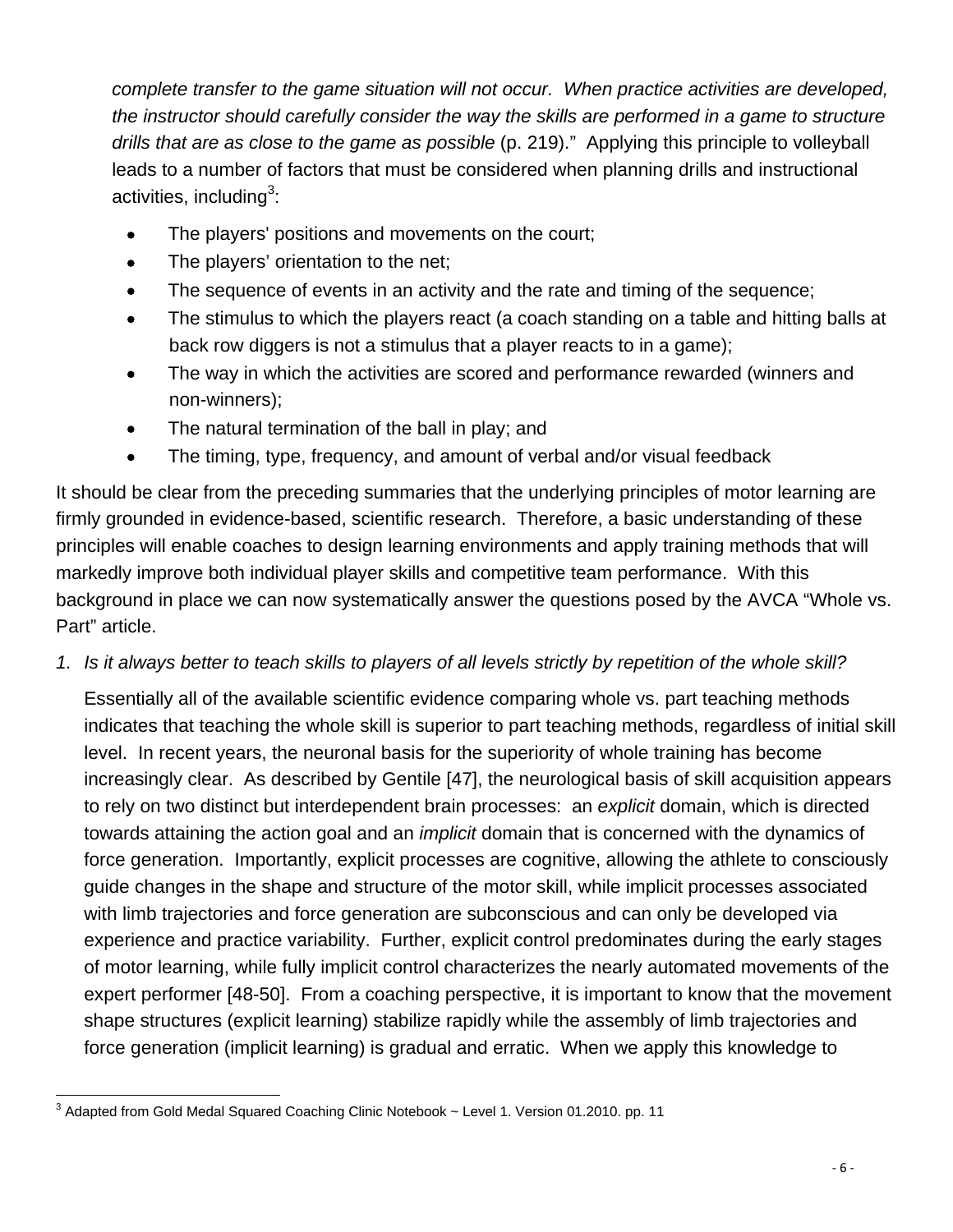*complete transfer to the game situation will not occur. When practice activities are developed, the instructor should carefully consider the way the skills are performed in a game to structure drills that are as close to the game as possible* (p. 219)." Applying this principle to volleyball leads to a number of factors that must be considered when planning drills and instructional activities, including $3$ :

- The players' positions and movements on the court;
- The players' orientation to the net;
- The sequence of events in an activity and the rate and timing of the sequence;
- The stimulus to which the players react (a coach standing on a table and hitting balls at back row diggers is not a stimulus that a player reacts to in a game);
- The way in which the activities are scored and performance rewarded (winners and non-winners);
- The natural termination of the ball in play; and
- The timing, type, frequency, and amount of verbal and/or visual feedback

It should be clear from the preceding summaries that the underlying principles of motor learning are firmly grounded in evidence-based, scientific research. Therefore, a basic understanding of these principles will enable coaches to design learning environments and apply training methods that will markedly improve both individual player skills and competitive team performance. With this background in place we can now systematically answer the questions posed by the AVCA "Whole vs. Part" article.

## *1. Is it always better to teach skills to players of all levels strictly by repetition of the whole skill?*

Essentially all of the available scientific evidence comparing whole vs. part teaching methods indicates that teaching the whole skill is superior to part teaching methods, regardless of initial skill level. In recent years, the neuronal basis for the superiority of whole training has become increasingly clear. As described by Gentile [47], the neurological basis of skill acquisition appears to rely on two distinct but interdependent brain processes:an *explicit* domain, which is directed towards attaining the action goal and an *implicit* domain that is concerned with the dynamics of force generation. Importantly, explicit processes are cognitive, allowing the athlete to consciously guide changes in the shape and structure of the motor skill, while implicit processes associated with limb trajectories and force generation are subconscious and can only be developed via experience and practice variability. Further, explicit control predominates during the early stages of motor learning, while fully implicit control characterizes the nearly automated movements of the expert performer [48-50]. From a coaching perspective, it is important to know that the movement shape structures (explicit learning) stabilize rapidly while the assembly of limb trajectories and force generation (implicit learning) is gradual and erratic. When we apply this knowledge to

 3 Adapted from Gold Medal Squared Coaching Clinic Notebook ~ Level 1. Version 01.2010. pp. 11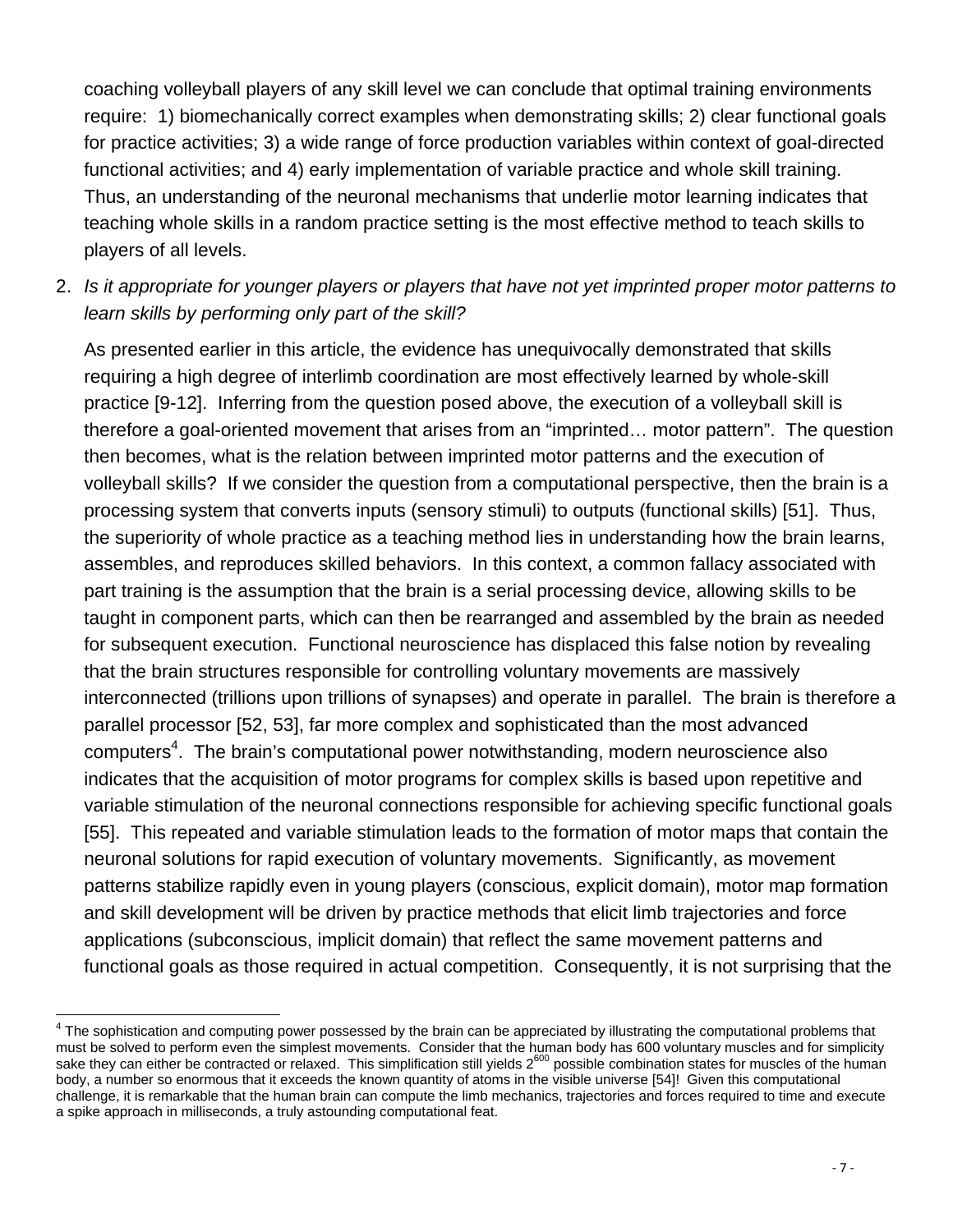coaching volleyball players of any skill level we can conclude that optimal training environments require: 1) biomechanically correct examples when demonstrating skills; 2) clear functional goals for practice activities; 3) a wide range of force production variables within context of goal-directed functional activities; and 4) early implementation of variable practice and whole skill training. Thus, an understanding of the neuronal mechanisms that underlie motor learning indicates that teaching whole skills in a random practice setting is the most effective method to teach skills to players of all levels.

2. *Is it appropriate for younger players or players that have not yet imprinted proper motor patterns to learn skills by performing only part of the skill?*

As presented earlier in this article, the evidence has unequivocally demonstrated that skills requiring a high degree of interlimb coordination are most effectively learned by whole-skill practice [9-12]. Inferring from the question posed above, the execution of a volleyball skill is therefore a goal-oriented movement that arises from an "imprinted… motor pattern". The question then becomes, what is the relation between imprinted motor patterns and the execution of volleyball skills? If we consider the question from a computational perspective, then the brain is a processing system that converts inputs (sensory stimuli) to outputs (functional skills) [51]. Thus, the superiority of whole practice as a teaching method lies in understanding how the brain learns, assembles, and reproduces skilled behaviors. In this context, a common fallacy associated with part training is the assumption that the brain is a serial processing device, allowing skills to be taught in component parts, which can then be rearranged and assembled by the brain as needed for subsequent execution. Functional neuroscience has displaced this false notion by revealing that the brain structures responsible for controlling voluntary movements are massively interconnected (trillions upon trillions of synapses) and operate in parallel. The brain is therefore a parallel processor [52, 53], far more complex and sophisticated than the most advanced computers<sup>4</sup>. The brain's computational power notwithstanding, modern neuroscience also indicates that the acquisition of motor programs for complex skills is based upon repetitive and variable stimulation of the neuronal connections responsible for achieving specific functional goals [55]. This repeated and variable stimulation leads to the formation of motor maps that contain the neuronal solutions for rapid execution of voluntary movements. Significantly, as movement patterns stabilize rapidly even in young players (conscious, explicit domain), motor map formation and skill development will be driven by practice methods that elicit limb trajectories and force applications (subconscious, implicit domain) that reflect the same movement patterns and functional goals as those required in actual competition. Consequently, it is not surprising that the

 4 The sophistication and computing power possessed by the brain can be appreciated by illustrating the computational problems that must be solved to perform even the simplest movements. Consider that the human body has 600 voluntary muscles and for simplicity sake they can either be contracted or relaxed. This simplification still yields  $2^{600}$  possible combination states for muscles of the human body, a number so enormous that it exceeds the known quantity of atoms in the visible universe [54]! Given this computational challenge, it is remarkable that the human brain can compute the limb mechanics, trajectories and forces required to time and execute a spike approach in milliseconds, a truly astounding computational feat.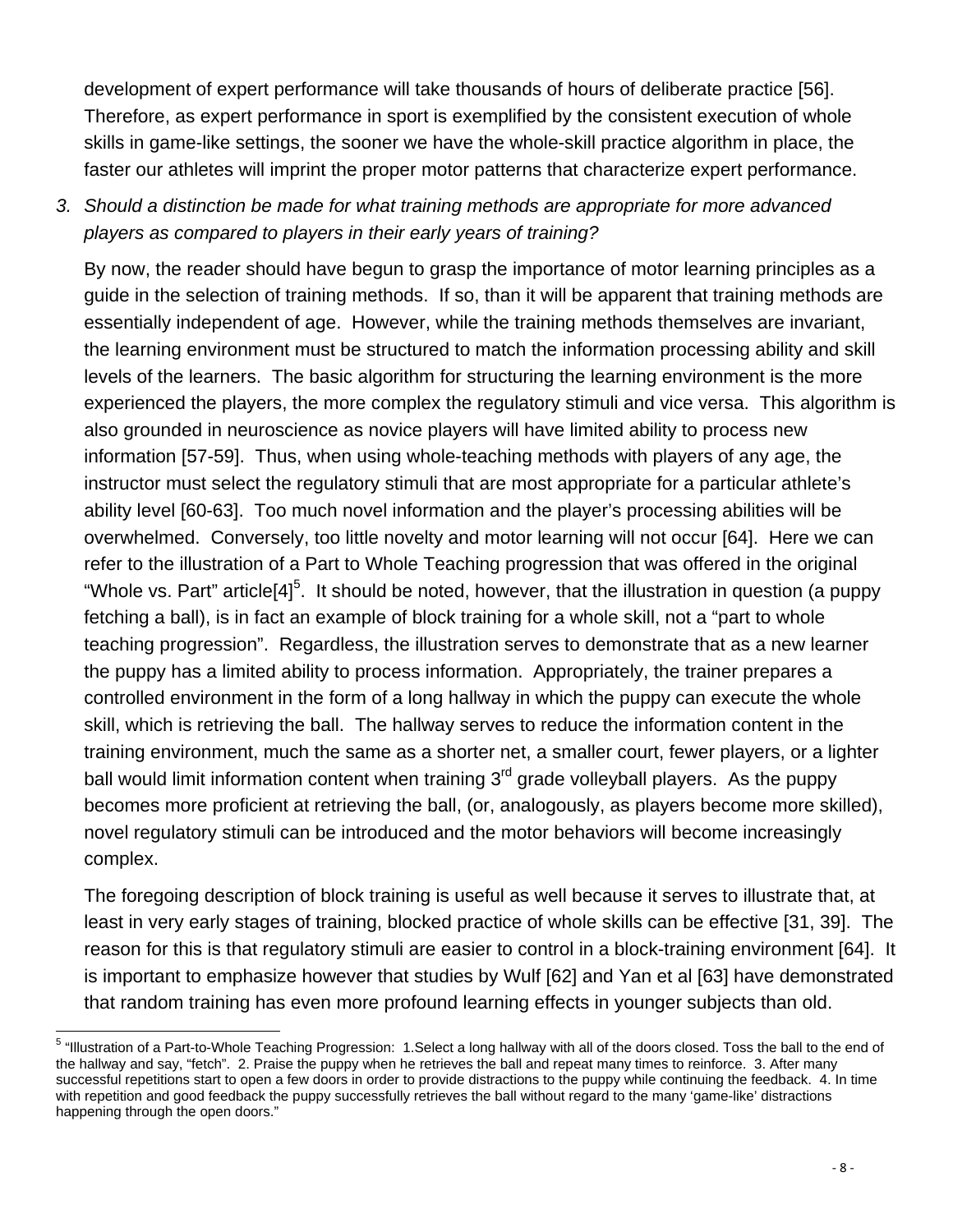development of expert performance will take thousands of hours of deliberate practice [56]. Therefore, as expert performance in sport is exemplified by the consistent execution of whole skills in game-like settings, the sooner we have the whole-skill practice algorithm in place, the faster our athletes will imprint the proper motor patterns that characterize expert performance.

# *3. Should a distinction be made for what training methods are appropriate for more advanced players as compared to players in their early years of training?*

By now, the reader should have begun to grasp the importance of motor learning principles as a guide in the selection of training methods. If so, than it will be apparent that training methods are essentially independent of age. However, while the training methods themselves are invariant, the learning environment must be structured to match the information processing ability and skill levels of the learners. The basic algorithm for structuring the learning environment is the more experienced the players, the more complex the regulatory stimuli and vice versa. This algorithm is also grounded in neuroscience as novice players will have limited ability to process new information [57-59]. Thus, when using whole-teaching methods with players of any age, the instructor must select the regulatory stimuli that are most appropriate for a particular athlete's ability level [60-63]. Too much novel information and the player's processing abilities will be overwhelmed. Conversely, too little novelty and motor learning will not occur [64]. Here we can refer to the illustration of a Part to Whole Teaching progression that was offered in the original "Whole vs. Part" article[4]<sup>5</sup>. It should be noted, however, that the illustration in question (a puppy fetching a ball), is in fact an example of block training for a whole skill, not a "part to whole teaching progression". Regardless, the illustration serves to demonstrate that as a new learner the puppy has a limited ability to process information. Appropriately, the trainer prepares a controlled environment in the form of a long hallway in which the puppy can execute the whole skill, which is retrieving the ball. The hallway serves to reduce the information content in the training environment, much the same as a shorter net, a smaller court, fewer players, or a lighter ball would limit information content when training  $3<sup>rd</sup>$  grade volleyball players. As the puppy becomes more proficient at retrieving the ball, (or, analogously, as players become more skilled), novel regulatory stimuli can be introduced and the motor behaviors will become increasingly complex.

The foregoing description of block training is useful as well because it serves to illustrate that, at least in very early stages of training, blocked practice of whole skills can be effective [31, 39]. The reason for this is that regulatory stimuli are easier to control in a block-training environment [64]. It is important to emphasize however that studies by Wulf [62] and Yan et al [63] have demonstrated that random training has even more profound learning effects in younger subjects than old.

 5 "Illustration of a Part-to-Whole Teaching Progression: 1.Select a long hallway with all of the doors closed. Toss the ball to the end of the hallway and say, "fetch". 2. Praise the puppy when he retrieves the ball and repeat many times to reinforce. 3. After many successful repetitions start to open a few doors in order to provide distractions to the puppy while continuing the feedback. 4. In time with repetition and good feedback the puppy successfully retrieves the ball without regard to the many 'game-like' distractions happening through the open doors."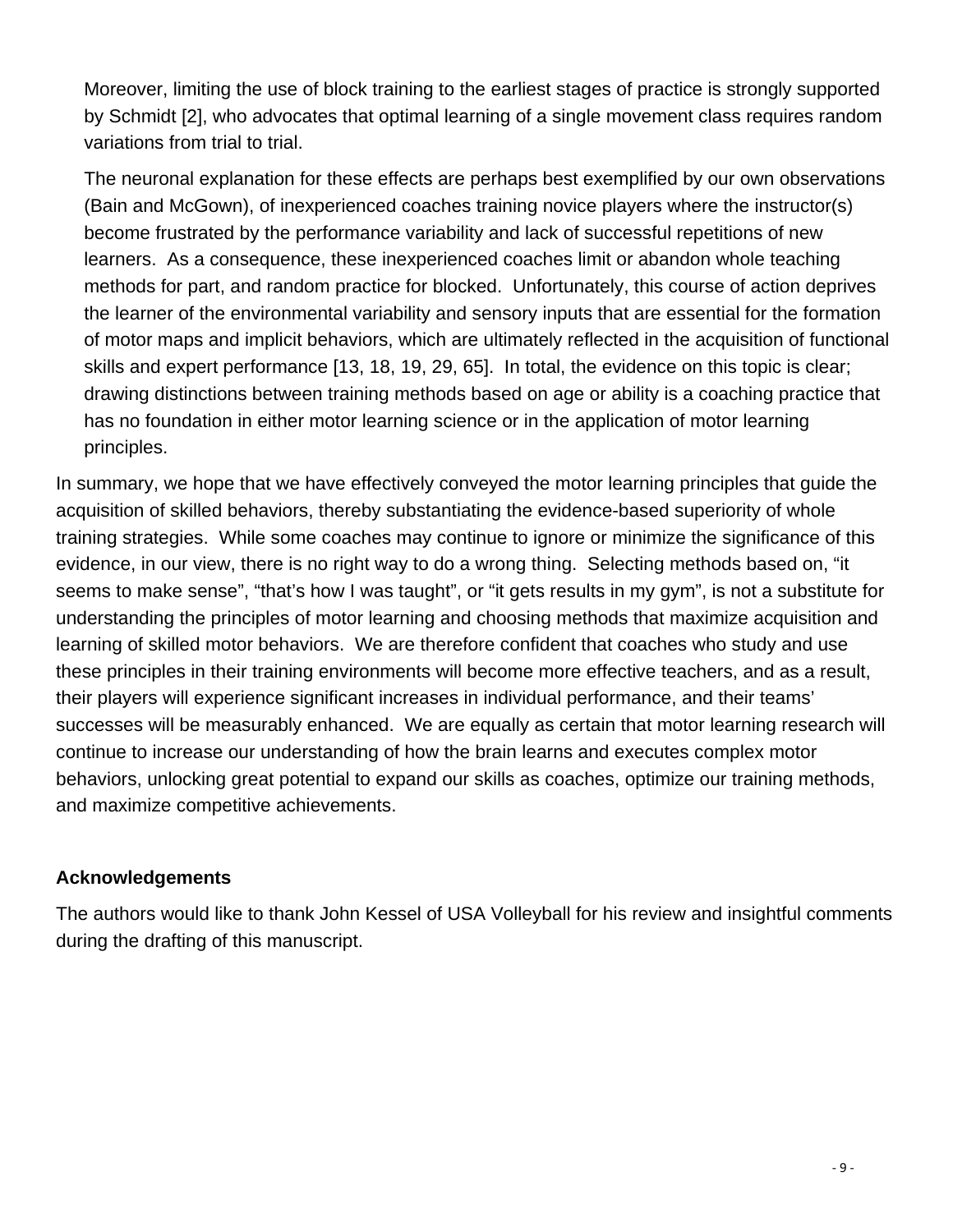Moreover, limiting the use of block training to the earliest stages of practice is strongly supported by Schmidt [2], who advocates that optimal learning of a single movement class requires random variations from trial to trial.

The neuronal explanation for these effects are perhaps best exemplified by our own observations (Bain and McGown), of inexperienced coaches training novice players where the instructor(s) become frustrated by the performance variability and lack of successful repetitions of new learners. As a consequence, these inexperienced coaches limit or abandon whole teaching methods for part, and random practice for blocked. Unfortunately, this course of action deprives the learner of the environmental variability and sensory inputs that are essential for the formation of motor maps and implicit behaviors, which are ultimately reflected in the acquisition of functional skills and expert performance [13, 18, 19, 29, 65]. In total, the evidence on this topic is clear; drawing distinctions between training methods based on age or ability is a coaching practice that has no foundation in either motor learning science or in the application of motor learning principles.

In summary, we hope that we have effectively conveyed the motor learning principles that guide the acquisition of skilled behaviors, thereby substantiating the evidence-based superiority of whole training strategies. While some coaches may continue to ignore or minimize the significance of this evidence, in our view, there is no right way to do a wrong thing. Selecting methods based on, "it seems to make sense", "that's how I was taught", or "it gets results in my gym", is not a substitute for understanding the principles of motor learning and choosing methods that maximize acquisition and learning of skilled motor behaviors. We are therefore confident that coaches who study and use these principles in their training environments will become more effective teachers, and as a result, their players will experience significant increases in individual performance, and their teams' successes will be measurably enhanced. We are equally as certain that motor learning research will continue to increase our understanding of how the brain learns and executes complex motor behaviors, unlocking great potential to expand our skills as coaches, optimize our training methods, and maximize competitive achievements.

### **Acknowledgements**

The authors would like to thank John Kessel of USA Volleyball for his review and insightful comments during the drafting of this manuscript.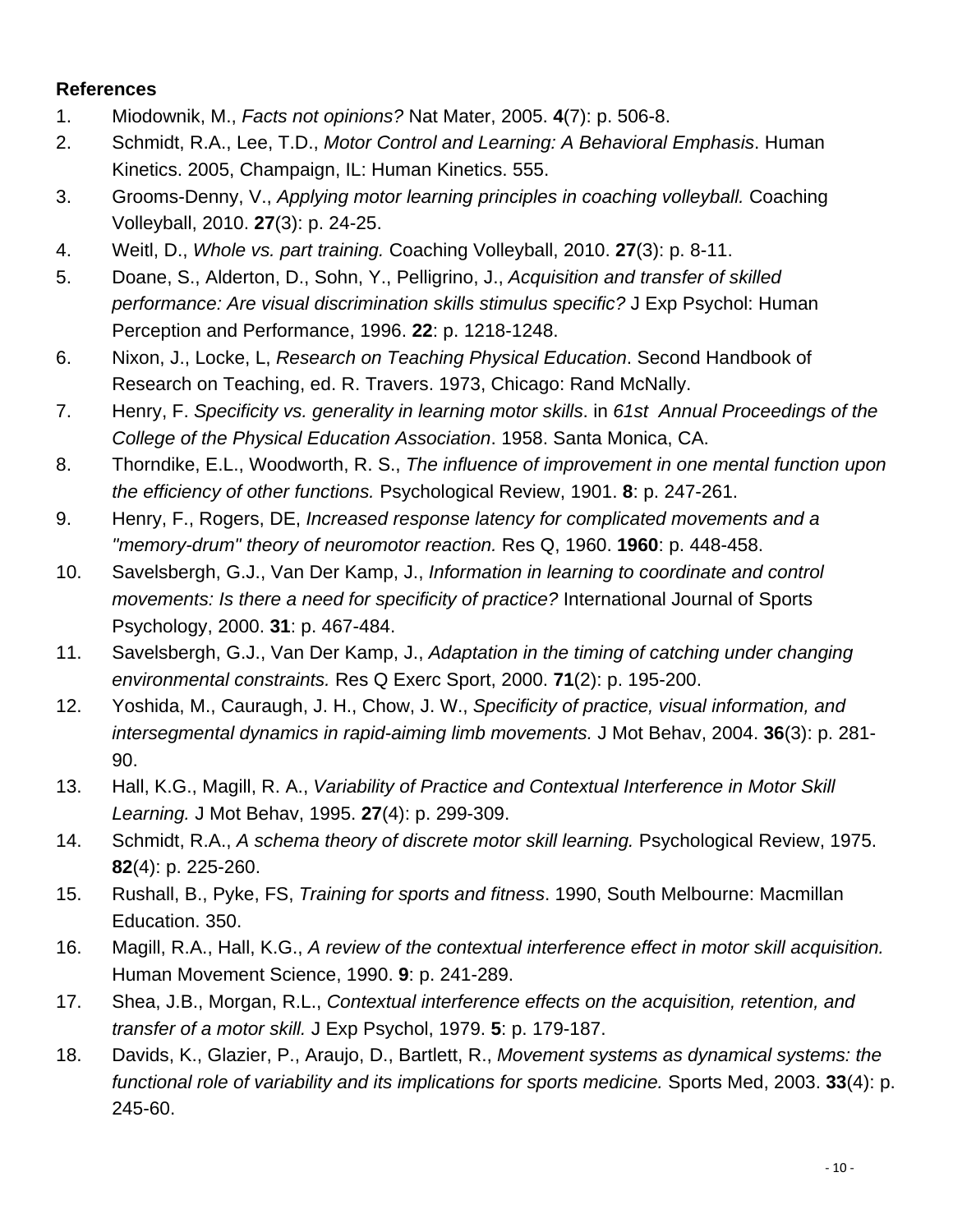#### **References**

- 1. Miodownik, M., *Facts not opinions?* Nat Mater, 2005. **4**(7): p. 506-8.
- 2. Schmidt, R.A., Lee, T.D., *Motor Control and Learning: A Behavioral Emphasis*. Human Kinetics. 2005, Champaign, IL: Human Kinetics. 555.
- 3. Grooms-Denny, V., *Applying motor learning principles in coaching volleyball.* Coaching Volleyball, 2010. **27**(3): p. 24-25.
- 4. Weitl, D., *Whole vs. part training.* Coaching Volleyball, 2010. **27**(3): p. 8-11.
- 5. Doane, S., Alderton, D., Sohn, Y., Pelligrino, J., *Acquisition and transfer of skilled performance: Are visual discrimination skills stimulus specific?* J Exp Psychol: Human Perception and Performance, 1996. **22**: p. 1218-1248.
- 6. Nixon, J., Locke, L, *Research on Teaching Physical Education*. Second Handbook of Research on Teaching, ed. R. Travers. 1973, Chicago: Rand McNally.
- 7. Henry, F. *Specificity vs. generality in learning motor skills*. in *61st Annual Proceedings of the College of the Physical Education Association*. 1958. Santa Monica, CA.
- 8. Thorndike, E.L., Woodworth, R. S., *The influence of improvement in one mental function upon the efficiency of other functions.* Psychological Review, 1901. **8**: p. 247-261.
- 9. Henry, F., Rogers, DE, *Increased response latency for complicated movements and a "memory-drum" theory of neuromotor reaction.* Res Q, 1960. **1960**: p. 448-458.
- 10. Savelsbergh, G.J., Van Der Kamp, J., *Information in learning to coordinate and control movements: Is there a need for specificity of practice?* International Journal of Sports Psychology, 2000. **31**: p. 467-484.
- 11. Savelsbergh, G.J., Van Der Kamp, J., *Adaptation in the timing of catching under changing environmental constraints.* Res Q Exerc Sport, 2000. **71**(2): p. 195-200.
- 12. Yoshida, M., Cauraugh, J. H., Chow, J. W., *Specificity of practice, visual information, and intersegmental dynamics in rapid-aiming limb movements.* J Mot Behav, 2004. **36**(3): p. 281- 90.
- 13. Hall, K.G., Magill, R. A., *Variability of Practice and Contextual Interference in Motor Skill Learning.* J Mot Behav, 1995. **27**(4): p. 299-309.
- 14. Schmidt, R.A., *A schema theory of discrete motor skill learning.* Psychological Review, 1975. **82**(4): p. 225-260.
- 15. Rushall, B., Pyke, FS, *Training for sports and fitness*. 1990, South Melbourne: Macmillan Education. 350.
- 16. Magill, R.A., Hall, K.G., *A review of the contextual interference effect in motor skill acquisition.* Human Movement Science, 1990. **9**: p. 241-289.
- 17. Shea, J.B., Morgan, R.L., *Contextual interference effects on the acquisition, retention, and transfer of a motor skill.* J Exp Psychol, 1979. **5**: p. 179-187.
- 18. Davids, K., Glazier, P., Araujo, D., Bartlett, R., *Movement systems as dynamical systems: the functional role of variability and its implications for sports medicine.* Sports Med, 2003. **33**(4): p. 245-60.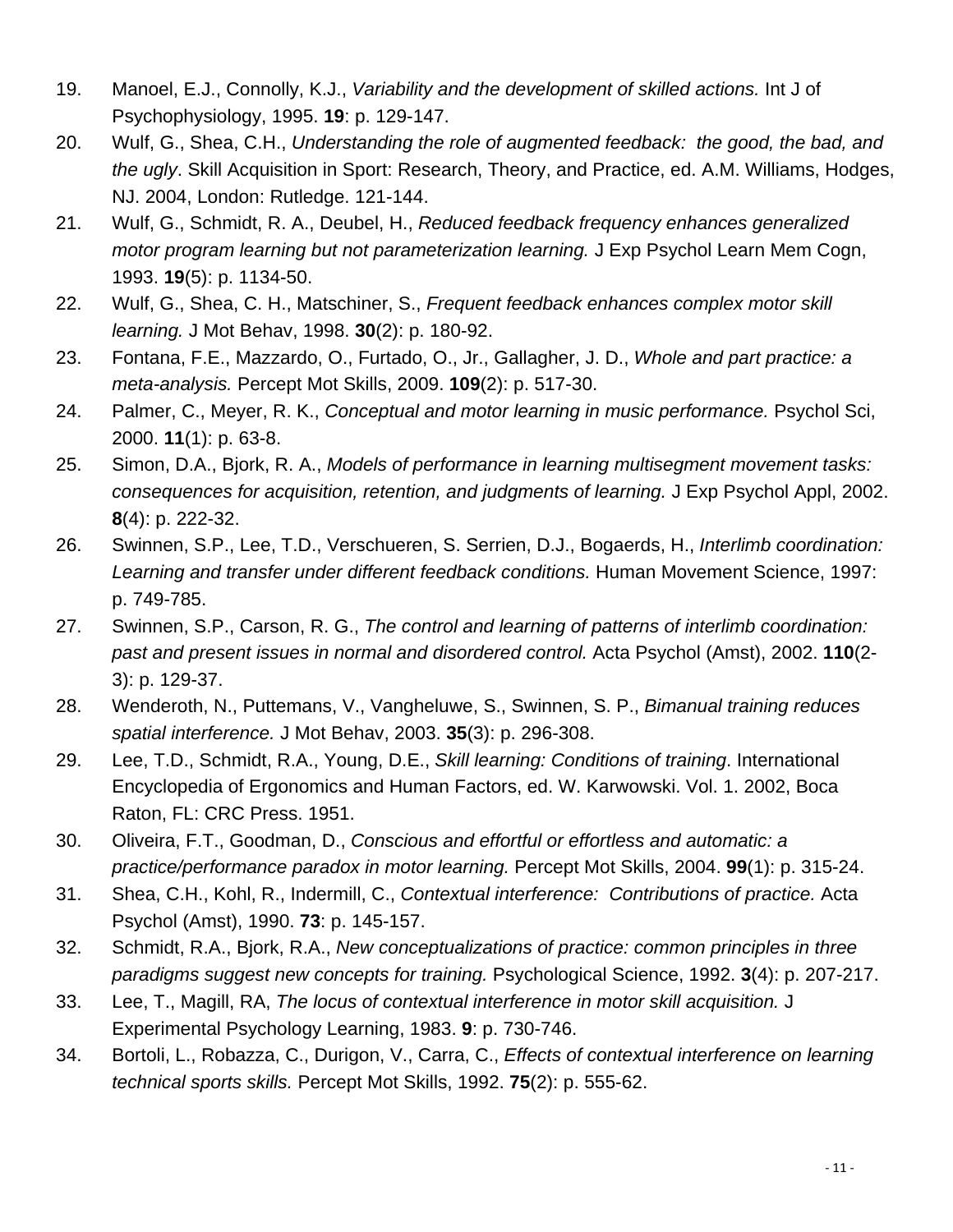- 19. Manoel, E.J., Connolly, K.J., *Variability and the development of skilled actions.* Int J of Psychophysiology, 1995. **19**: p. 129-147.
- 20. Wulf, G., Shea, C.H., *Understanding the role of augmented feedback: the good, the bad, and the ugly*. Skill Acquisition in Sport: Research, Theory, and Practice, ed. A.M. Williams, Hodges, NJ. 2004, London: Rutledge. 121-144.
- 21. Wulf, G., Schmidt, R. A., Deubel, H., *Reduced feedback frequency enhances generalized motor program learning but not parameterization learning.* J Exp Psychol Learn Mem Cogn, 1993. **19**(5): p. 1134-50.
- 22. Wulf, G., Shea, C. H., Matschiner, S., *Frequent feedback enhances complex motor skill learning.* J Mot Behav, 1998. **30**(2): p. 180-92.
- 23. Fontana, F.E., Mazzardo, O., Furtado, O., Jr., Gallagher, J. D., *Whole and part practice: a meta-analysis.* Percept Mot Skills, 2009. **109**(2): p. 517-30.
- 24. Palmer, C., Meyer, R. K., *Conceptual and motor learning in music performance.* Psychol Sci, 2000. **11**(1): p. 63-8.
- 25. Simon, D.A., Bjork, R. A., *Models of performance in learning multisegment movement tasks: consequences for acquisition, retention, and judgments of learning.* J Exp Psychol Appl, 2002. **8**(4): p. 222-32.
- 26. Swinnen, S.P., Lee, T.D., Verschueren, S. Serrien, D.J., Bogaerds, H., *Interlimb coordination: Learning and transfer under different feedback conditions.* Human Movement Science, 1997: p. 749-785.
- 27. Swinnen, S.P., Carson, R. G., *The control and learning of patterns of interlimb coordination: past and present issues in normal and disordered control.* Acta Psychol (Amst), 2002. **110**(2- 3): p. 129-37.
- 28. Wenderoth, N., Puttemans, V., Vangheluwe, S., Swinnen, S. P., *Bimanual training reduces spatial interference.* J Mot Behav, 2003. **35**(3): p. 296-308.
- 29. Lee, T.D., Schmidt, R.A., Young, D.E., *Skill learning: Conditions of training*. International Encyclopedia of Ergonomics and Human Factors, ed. W. Karwowski. Vol. 1. 2002, Boca Raton, FL: CRC Press. 1951.
- 30. Oliveira, F.T., Goodman, D., *Conscious and effortful or effortless and automatic: a practice/performance paradox in motor learning.* Percept Mot Skills, 2004. **99**(1): p. 315-24.
- 31. Shea, C.H., Kohl, R., Indermill, C., *Contextual interference: Contributions of practice.* Acta Psychol (Amst), 1990. **73**: p. 145-157.
- 32. Schmidt, R.A., Bjork, R.A., *New conceptualizations of practice: common principles in three paradigms suggest new concepts for training.* Psychological Science, 1992. **3**(4): p. 207-217.
- 33. Lee, T., Magill, RA, *The locus of contextual interference in motor skill acquisition.* J Experimental Psychology Learning, 1983. **9**: p. 730-746.
- 34. Bortoli, L., Robazza, C., Durigon, V., Carra, C., *Effects of contextual interference on learning technical sports skills.* Percept Mot Skills, 1992. **75**(2): p. 555-62.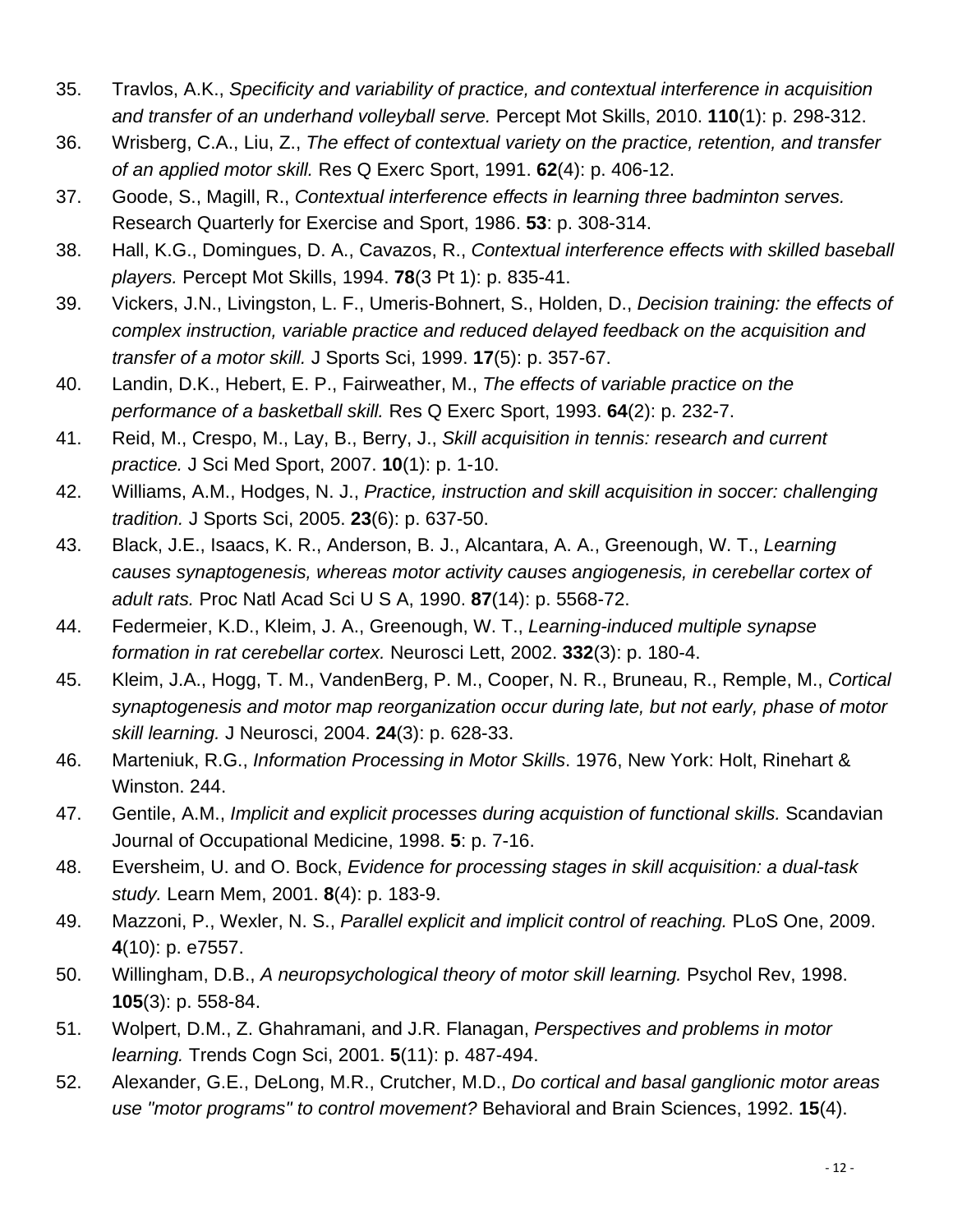- 35. Travlos, A.K., *Specificity and variability of practice, and contextual interference in acquisition and transfer of an underhand volleyball serve.* Percept Mot Skills, 2010. **110**(1): p. 298-312.
- 36. Wrisberg, C.A., Liu, Z., *The effect of contextual variety on the practice, retention, and transfer of an applied motor skill.* Res Q Exerc Sport, 1991. **62**(4): p. 406-12.
- 37. Goode, S., Magill, R., *Contextual interference effects in learning three badminton serves.* Research Quarterly for Exercise and Sport, 1986. **53**: p. 308-314.
- 38. Hall, K.G., Domingues, D. A., Cavazos, R., *Contextual interference effects with skilled baseball players.* Percept Mot Skills, 1994. **78**(3 Pt 1): p. 835-41.
- 39. Vickers, J.N., Livingston, L. F., Umeris-Bohnert, S., Holden, D., *Decision training: the effects of complex instruction, variable practice and reduced delayed feedback on the acquisition and transfer of a motor skill.* J Sports Sci, 1999. **17**(5): p. 357-67.
- 40. Landin, D.K., Hebert, E. P., Fairweather, M., *The effects of variable practice on the performance of a basketball skill.* Res Q Exerc Sport, 1993. **64**(2): p. 232-7.
- 41. Reid, M., Crespo, M., Lay, B., Berry, J., *Skill acquisition in tennis: research and current practice.* J Sci Med Sport, 2007. **10**(1): p. 1-10.
- 42. Williams, A.M., Hodges, N. J., *Practice, instruction and skill acquisition in soccer: challenging tradition.* J Sports Sci, 2005. **23**(6): p. 637-50.
- 43. Black, J.E., Isaacs, K. R., Anderson, B. J., Alcantara, A. A., Greenough, W. T., *Learning causes synaptogenesis, whereas motor activity causes angiogenesis, in cerebellar cortex of adult rats.* Proc Natl Acad Sci U S A, 1990. **87**(14): p. 5568-72.
- 44. Federmeier, K.D., Kleim, J. A., Greenough, W. T., *Learning-induced multiple synapse formation in rat cerebellar cortex.* Neurosci Lett, 2002. **332**(3): p. 180-4.
- 45. Kleim, J.A., Hogg, T. M., VandenBerg, P. M., Cooper, N. R., Bruneau, R., Remple, M., *Cortical synaptogenesis and motor map reorganization occur during late, but not early, phase of motor skill learning.* J Neurosci, 2004. **24**(3): p. 628-33.
- 46. Marteniuk, R.G., *Information Processing in Motor Skills*. 1976, New York: Holt, Rinehart & Winston. 244.
- 47. Gentile, A.M., *Implicit and explicit processes during acquistion of functional skills.* Scandavian Journal of Occupational Medicine, 1998. **5**: p. 7-16.
- 48. Eversheim, U. and O. Bock, *Evidence for processing stages in skill acquisition: a dual-task study.* Learn Mem, 2001. **8**(4): p. 183-9.
- 49. Mazzoni, P., Wexler, N. S., *Parallel explicit and implicit control of reaching.* PLoS One, 2009. **4**(10): p. e7557.
- 50. Willingham, D.B., *A neuropsychological theory of motor skill learning.* Psychol Rev, 1998. **105**(3): p. 558-84.
- 51. Wolpert, D.M., Z. Ghahramani, and J.R. Flanagan, *Perspectives and problems in motor learning.* Trends Cogn Sci, 2001. **5**(11): p. 487-494.
- 52. Alexander, G.E., DeLong, M.R., Crutcher, M.D., *Do cortical and basal ganglionic motor areas use "motor programs" to control movement?* Behavioral and Brain Sciences, 1992. **15**(4).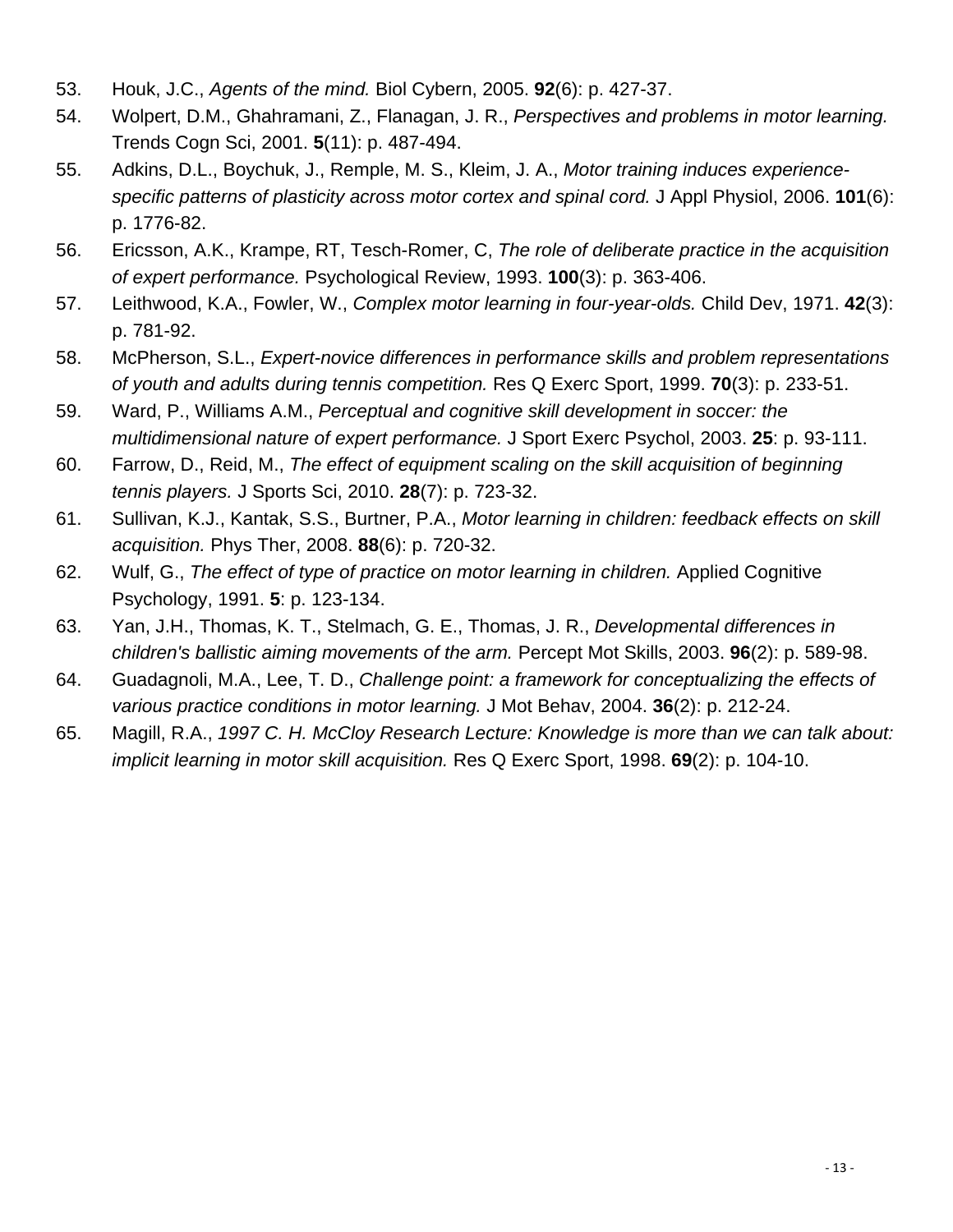- 53. Houk, J.C., *Agents of the mind.* Biol Cybern, 2005. **92**(6): p. 427-37.
- 54. Wolpert, D.M., Ghahramani, Z., Flanagan, J. R., *Perspectives and problems in motor learning.* Trends Cogn Sci, 2001. **5**(11): p. 487-494.
- 55. Adkins, D.L., Boychuk, J., Remple, M. S., Kleim, J. A., *Motor training induces experiencespecific patterns of plasticity across motor cortex and spinal cord.* J Appl Physiol, 2006. **101**(6): p. 1776-82.
- 56. Ericsson, A.K., Krampe, RT, Tesch-Romer, C, *The role of deliberate practice in the acquisition of expert performance.* Psychological Review, 1993. **100**(3): p. 363-406.
- 57. Leithwood, K.A., Fowler, W., *Complex motor learning in four-year-olds.* Child Dev, 1971. **42**(3): p. 781-92.
- 58. McPherson, S.L., *Expert-novice differences in performance skills and problem representations of youth and adults during tennis competition.* Res Q Exerc Sport, 1999. **70**(3): p. 233-51.
- 59. Ward, P., Williams A.M., *Perceptual and cognitive skill development in soccer: the multidimensional nature of expert performance.* J Sport Exerc Psychol, 2003. **25**: p. 93-111.
- 60. Farrow, D., Reid, M., *The effect of equipment scaling on the skill acquisition of beginning tennis players.* J Sports Sci, 2010. **28**(7): p. 723-32.
- 61. Sullivan, K.J., Kantak, S.S., Burtner, P.A., *Motor learning in children: feedback effects on skill acquisition.* Phys Ther, 2008. **88**(6): p. 720-32.
- 62. Wulf, G., *The effect of type of practice on motor learning in children.* Applied Cognitive Psychology, 1991. **5**: p. 123-134.
- 63. Yan, J.H., Thomas, K. T., Stelmach, G. E., Thomas, J. R., *Developmental differences in children's ballistic aiming movements of the arm.* Percept Mot Skills, 2003. **96**(2): p. 589-98.
- 64. Guadagnoli, M.A., Lee, T. D., *Challenge point: a framework for conceptualizing the effects of various practice conditions in motor learning.* J Mot Behav, 2004. **36**(2): p. 212-24.
- 65. Magill, R.A., *1997 C. H. McCloy Research Lecture: Knowledge is more than we can talk about: implicit learning in motor skill acquisition.* Res Q Exerc Sport, 1998. **69**(2): p. 104-10.